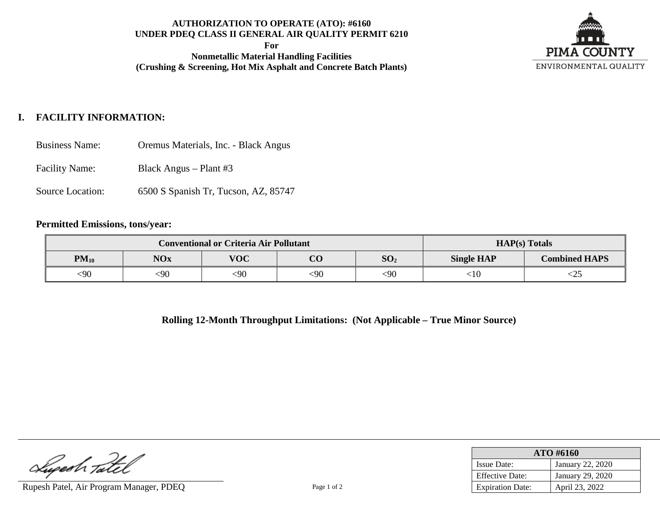## **AUTHORIZATION TO OPERATE (ATO): #6160 UNDER PDEQ CLASS II GENERAL AIR QUALITY PERMIT 6210**

**For**

**Nonmetallic Material Handling Facilities (Crushing & Screening, Hot Mix Asphalt and Concrete Batch Plants)**



# **I. FACILITY INFORMATION:**

Business Name: Oremus Materials, Inc. - Black Angus

Facility Name: Black Angus – Plant #3

Source Location: 6500 S Spanish Tr, Tucson, AZ, 85747

#### **Permitted Emissions, tons/year:**

| <b>Conventional or Criteria Air Pollutant</b> |            |            |          |                 | $HAP(s)$ Totals   |                      |
|-----------------------------------------------|------------|------------|----------|-----------------|-------------------|----------------------|
| $PM_{10}$                                     | <b>NOx</b> | <b>VOC</b> | $\bf CO$ | SO <sub>2</sub> | <b>Single HAP</b> | <b>Combined HAPS</b> |
| 590                                           | :90        | $90$       | <90      | $90$            | 10:               | لكك                  |

**Rolling 12-Month Throughput Limitations: (Not Applicable – True Minor Source)**

Lugesh Tatel

Rupesh Patel, Air Program Manager, PDEQ Page 1 of 2

| ATO #6160               |                         |  |  |
|-------------------------|-------------------------|--|--|
| <b>Issue Date:</b>      | <b>January 22, 2020</b> |  |  |
| <b>Effective Date:</b>  | January 29, 2020        |  |  |
| <b>Expiration Date:</b> | April 23, 2022          |  |  |